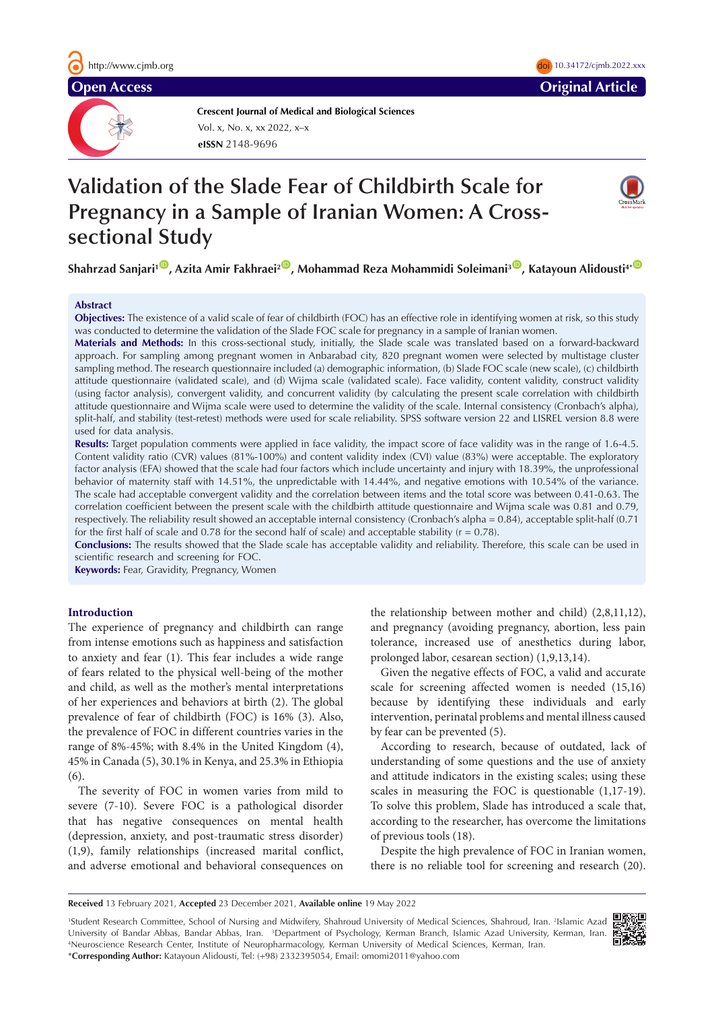**Crescent Journal of Medical and Biological Sciences eISSN** 2148-9696 Vol. x, No. x, xx 2022, x–x

# **Validation of the Slade Fear of Childbirth Scale for Pregnancy in a Sample of Iranian Women: A Crosssectional Study**

**Shahrzad Sanjari<sup>1</sup><sup>10</sup>, Azita Amir Fakhraei<sup>2</sup><sup>10</sup>, Mohammad Reza Mohammidi Soleimani<sup>3</sup><sup>10</sup>, Katayoun Alidousti<sup>4\*</sub> <sup>10</sup>**</sup>

# **Abstract**

**Objectives:** The existence of a valid scale of fear of childbirth (FOC) has an effective role in identifying women at risk, so this study was conducted to determine the validation of the Slade FOC scale for pregnancy in a sample of Iranian women.

**Materials and Methods:** In this cross-sectional study, initially, the Slade scale was translated based on a forward-backward approach. For sampling among pregnant women in Anbarabad city, 820 pregnant women were selected by multistage cluster sampling method. The research questionnaire included (a) demographic information, (b) Slade FOC scale (new scale), (c) childbirth attitude questionnaire (validated scale), and (d) Wijma scale (validated scale). Face validity, content validity, construct validity (using factor analysis), convergent validity, and concurrent validity (by calculating the present scale correlation with childbirth attitude questionnaire and Wijma scale were used to determine the validity of the scale. Internal consistency (Cronbach's alpha), split-half, and stability (test-retest) methods were used for scale reliability. SPSS software version 22 and LISREL version 8.8 were used for data analysis.

**Results:** Target population comments were applied in face validity, the impact score of face validity was in the range of 1.6-4.5. Content validity ratio (CVR) values (81%-100%) and content validity index (CVI) value (83%) were acceptable. The exploratory factor analysis (EFA) showed that the scale had four factors which include uncertainty and injury with 18.39%, the unprofessional behavior of maternity staff with 14.51%, the unpredictable with 14.44%, and negative emotions with 10.54% of the variance. The scale had acceptable convergent validity and the correlation between items and the total score was between 0.41-0.63. The correlation coefficient between the present scale with the childbirth attitude questionnaire and Wijma scale was 0.81 and 0.79, respectively. The reliability result showed an acceptable internal consistency (Cronbach's alpha = 0.84), acceptable split-half (0.71 for the first half of scale and 0.78 for the second half of scale) and acceptable stability ( $r = 0.78$ ).

**Conclusions:** The results showed that the Slade scale has acceptable validity and reliability. Therefore, this scale can be used in scientific research and screening for FOC.

**Keywords:** Fear, Gravidity, Pregnancy, Women

# **Introduction**

The experience of pregnancy and childbirth can range from intense emotions such as happiness and satisfaction to anxiety and fear (1). This fear includes a wide range of fears related to the physical well-being of the mother and child, as well as the mother's mental interpretations of her experiences and behaviors at birth (2). The global prevalence of fear of childbirth (FOC) is 16% (3). Also, the prevalence of FOC in different countries varies in the range of 8%-45%; with 8.4% in the United Kingdom (4), 45% in Canada (5), 30.1% in Kenya, and 25.3% in Ethiopia (6).

The severity of FOC in women varies from mild to severe (7-10). Severe FOC is a pathological disorder that has negative consequences on mental health (depression, anxiety, and post-traumatic stress disorder) (1,9), family relationships (increased marital conflict, and adverse emotional and behavioral consequences on

the relationship between mother and child) (2,8,11,12), and pregnancy (avoiding pregnancy, abortion, less pain tolerance, increased use of anesthetics during labor, prolonged labor, cesarean section) (1,9,13,14).

Given the negative effects of FOC, a valid and accurate scale for screening affected women is needed (15,16) because by identifying these individuals and early intervention, perinatal problems and mental illness caused by fear can be prevented (5).

According to research, because of outdated, lack of understanding of some questions and the use of anxiety and attitude indicators in the existing scales; using these scales in measuring the FOC is questionable (1,17-19). To solve this problem, Slade has introduced a scale that, according to the researcher, has overcome the limitations of previous tools (18).

Despite the high prevalence of FOC in Iranian women, there is no reliable tool for screening and research (20).

<sup>1</sup> Student Research Committee, School of Nursing and Midwifery, Shahroud University of Medical Sciences, Shahroud, Iran. 2 Islamic Azad University of Bandar Abbas, Bandar Abbas, Iran. <sup>3</sup>Department of Psychology, Kerman Branch, Islamic Azad University, Kerman, Iran.<br><sup>4</sup>Neuroscience Research Center Institute of Neuropharmacology, Kerman University of Medica Neuroscience Research Center, Institute of Neuropharmacology, Kerman University of Medical Sciences, Kerman, Iran. \***Corresponding Author:** Katayoun Alidousti, Tel: (+98) 2332395054, Email: omomi2011@yahoo.com





**Received** 13 February 2021, **Accepted** 23 December 2021, **Available online** 19 May 2022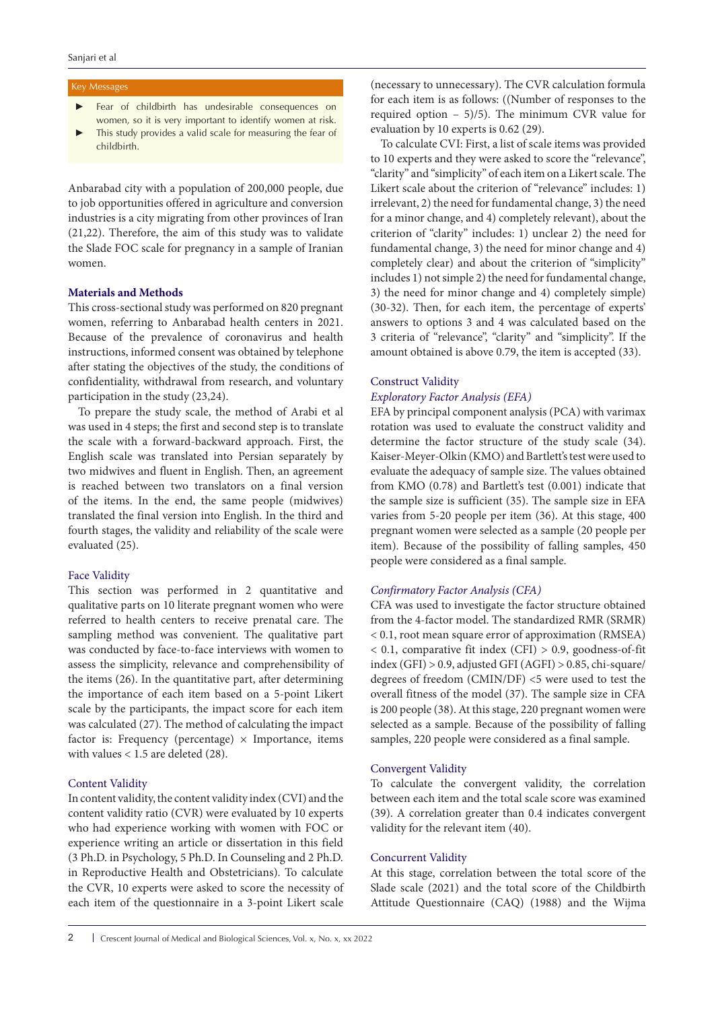# Key Messages

- Fear of childbirth has undesirable consequences on women, so it is very important to identify women at risk.
- This study provides a valid scale for measuring the fear of childbirth.

Anbarabad city with a population of 200,000 people, due to job opportunities offered in agriculture and conversion industries is a city migrating from other provinces of Iran (21,22). Therefore, the aim of this study was to validate the Slade FOC scale for pregnancy in a sample of Iranian women.

# **Materials and Methods**

This cross-sectional study was performed on 820 pregnant women, referring to Anbarabad health centers in 2021. Because of the prevalence of coronavirus and health instructions, informed consent was obtained by telephone after stating the objectives of the study, the conditions of confidentiality, withdrawal from research, and voluntary participation in the study (23,24).

To prepare the study scale, the method of Arabi et al was used in 4 steps; the first and second step is to translate the scale with a forward-backward approach. First, the English scale was translated into Persian separately by two midwives and fluent in English. Then, an agreement is reached between two translators on a final version of the items. In the end, the same people (midwives) translated the final version into English. In the third and fourth stages, the validity and reliability of the scale were evaluated (25).

# Face Validity

This section was performed in 2 quantitative and qualitative parts on 10 literate pregnant women who were referred to health centers to receive prenatal care. The sampling method was convenient. The qualitative part was conducted by face-to-face interviews with women to assess the simplicity, relevance and comprehensibility of the items (26). In the quantitative part, after determining the importance of each item based on a 5-point Likert scale by the participants, the impact score for each item was calculated (27). The method of calculating the impact factor is: Frequency (percentage)  $\times$  Importance, items with values < 1.5 are deleted (28).

# Content Validity

In content validity, the content validity index (CVI) and the content validity ratio (CVR) were evaluated by 10 experts who had experience working with women with FOC or experience writing an article or dissertation in this field (3 Ph.D. in Psychology, 5 Ph.D. In Counseling and 2 Ph.D. in Reproductive Health and Obstetricians). To calculate the CVR, 10 experts were asked to score the necessity of each item of the questionnaire in a 3-point Likert scale

(necessary to unnecessary). The CVR calculation formula for each item is as follows: ((Number of responses to the required option – 5)/5). The minimum CVR value for evaluation by 10 experts is 0.62 (29).

To calculate CVI: First, a list of scale items was provided to 10 experts and they were asked to score the "relevance", "clarity" and "simplicity" of each item on a Likert scale. The Likert scale about the criterion of "relevance" includes: 1) irrelevant, 2) the need for fundamental change, 3) the need for a minor change, and 4) completely relevant), about the criterion of "clarity" includes: 1) unclear 2) the need for fundamental change, 3) the need for minor change and 4) completely clear) and about the criterion of "simplicity" includes 1) not simple 2) the need for fundamental change, 3) the need for minor change and 4) completely simple) (30-32). Then, for each item, the percentage of experts' answers to options 3 and 4 was calculated based on the 3 criteria of "relevance", "clarity" and "simplicity". If the amount obtained is above 0.79, the item is accepted (33).

# Construct Validity

# *Exploratory Factor Analysis (EFA)*

EFA by principal component analysis (PCA) with varimax rotation was used to evaluate the construct validity and determine the factor structure of the study scale (34). Kaiser-Meyer-Olkin (KMO) and Bartlett's test were used to evaluate the adequacy of sample size. The values obtained from KMO (0.78) and Bartlett's test (0.001) indicate that the sample size is sufficient (35). The sample size in EFA varies from 5-20 people per item (36). At this stage, 400 pregnant women were selected as a sample (20 people per item). Because of the possibility of falling samples, 450 people were considered as a final sample.

# *Confirmatory Factor Analysis (CFA)*

CFA was used to investigate the factor structure obtained from the 4-factor model. The standardized RMR (SRMR) < 0.1, root mean square error of approximation (RMSEA) < 0.1, comparative fit index (CFI) > 0.9, goodness-of-fit index (GFI) > 0.9, adjusted GFI (AGFI) > 0.85, chi-square/ degrees of freedom (CMIN/DF) <5 were used to test the overall fitness of the model (37). The sample size in CFA is 200 people (38). At this stage, 220 pregnant women were selected as a sample. Because of the possibility of falling samples, 220 people were considered as a final sample.

# Convergent Validity

To calculate the convergent validity, the correlation between each item and the total scale score was examined (39). A correlation greater than 0.4 indicates convergent validity for the relevant item (40).

#### Concurrent Validity

At this stage, correlation between the total score of the Slade scale (2021) and the total score of the Childbirth Attitude Questionnaire (CAQ) (1988) and the Wijma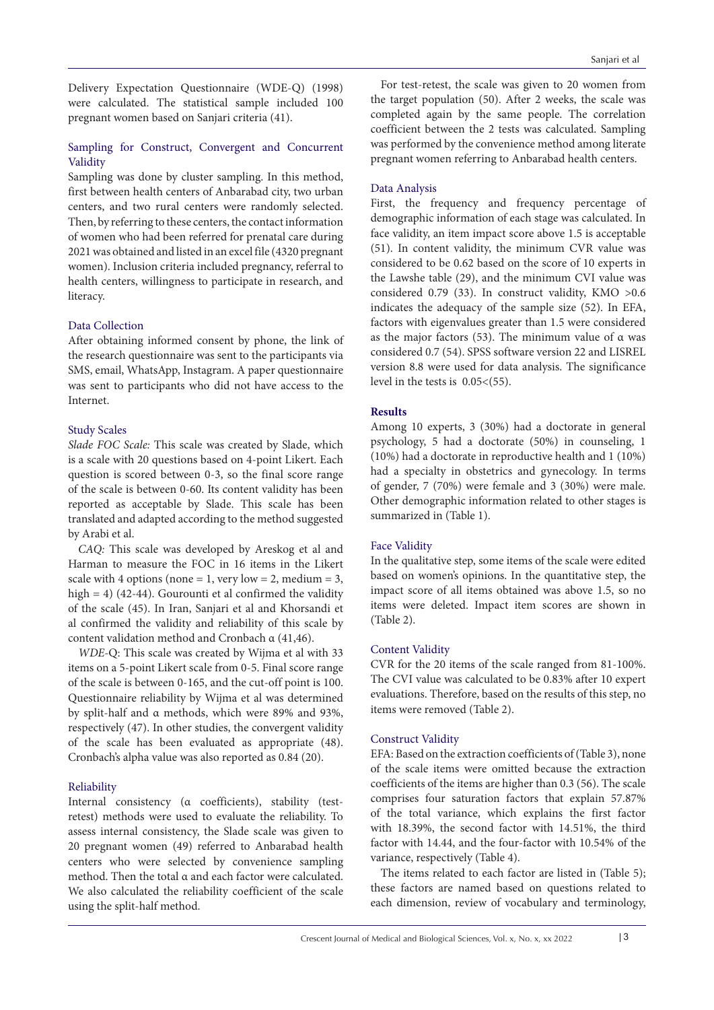Delivery Expectation Questionnaire (WDE-Q) (1998) were calculated. The statistical sample included 100 pregnant women based on Sanjari criteria (41).

# Sampling for Construct, Convergent and Concurrent Validity

Sampling was done by cluster sampling. In this method, first between health centers of Anbarabad city, two urban centers, and two rural centers were randomly selected. Then, by referring to these centers, the contact information of women who had been referred for prenatal care during 2021 was obtained and listed in an excel file (4320 pregnant women). Inclusion criteria included pregnancy, referral to health centers, willingness to participate in research, and literacy.

# Data Collection

After obtaining informed consent by phone, the link of the research questionnaire was sent to the participants via SMS, email, WhatsApp, Instagram. A paper questionnaire was sent to participants who did not have access to the Internet.

# Study Scales

*Slade FOC Scale:* This scale was created by Slade, which is a scale with 20 questions based on 4-point Likert. Each question is scored between 0-3, so the final score range of the scale is between 0-60. Its content validity has been reported as acceptable by Slade. This scale has been translated and adapted according to the method suggested by Arabi et al.

*CAQ:* This scale was developed by Areskog et al and Harman to measure the FOC in 16 items in the Likert scale with 4 options (none = 1, very low = 2, medium = 3, high = 4) (42-44). Gourounti et al confirmed the validity of the scale (45). In Iran, Sanjari et al and Khorsandi et al confirmed the validity and reliability of this scale by content validation method and Cronbach α (41,46).

*WDE-*Q: This scale was created by Wijma et al with 33 items on a 5-point Likert scale from 0-5. Final score range of the scale is between 0-165, and the cut-off point is 100. Questionnaire reliability by Wijma et al was determined by split-half and α methods, which were 89% and 93%, respectively (47). In other studies, the convergent validity of the scale has been evaluated as appropriate (48). Cronbach's alpha value was also reported as 0.84 (20).

# Reliability

Internal consistency (α coefficients), stability (testretest) methods were used to evaluate the reliability. To assess internal consistency, the Slade scale was given to 20 pregnant women (49) referred to Anbarabad health centers who were selected by convenience sampling method. Then the total α and each factor were calculated. We also calculated the reliability coefficient of the scale using the split-half method.

For test-retest, the scale was given to 20 women from the target population (50). After 2 weeks, the scale was completed again by the same people. The correlation coefficient between the 2 tests was calculated. Sampling was performed by the convenience method among literate pregnant women referring to Anbarabad health centers.

# Data Analysis

First, the frequency and frequency percentage of demographic information of each stage was calculated. In face validity, an item impact score above 1.5 is acceptable (51). In content validity, the minimum CVR value was considered to be 0.62 based on the score of 10 experts in the Lawshe table (29), and the minimum CVI value was considered 0.79 (33). In construct validity, KMO >0.6 indicates the adequacy of the sample size (52). In EFA, factors with eigenvalues greater than 1.5 were considered as the major factors (53). The minimum value of α was considered 0.7 (54). SPSS software version 22 and LISREL version 8.8 were used for data analysis. The significance level in the tests is  $0.05 < (55)$ .

# **Results**

Among 10 experts, 3 (30%) had a doctorate in general psychology, 5 had a doctorate (50%) in counseling, 1 (10%) had a doctorate in reproductive health and 1 (10%) had a specialty in obstetrics and gynecology. In terms of gender, 7 (70%) were female and 3 (30%) were male. Other demographic information related to other stages is summarized in (Table 1).

# Face Validity

In the qualitative step, some items of the scale were edited based on women's opinions. In the quantitative step, the impact score of all items obtained was above 1.5, so no items were deleted. Impact item scores are shown in (Table 2).

# Content Validity

CVR for the 20 items of the scale ranged from 81-100%. The CVI value was calculated to be 0.83% after 10 expert evaluations. Therefore, based on the results of this step, no items were removed (Table 2).

# Construct Validity

EFA: Based on the extraction coefficients of (Table 3), none of the scale items were omitted because the extraction coefficients of the items are higher than 0.3 (56). The scale comprises four saturation factors that explain 57.87% of the total variance, which explains the first factor with 18.39%, the second factor with 14.51%, the third factor with 14.44, and the four-factor with 10.54% of the variance, respectively (Table 4).

The items related to each factor are listed in (Table 5); these factors are named based on questions related to each dimension, review of vocabulary and terminology,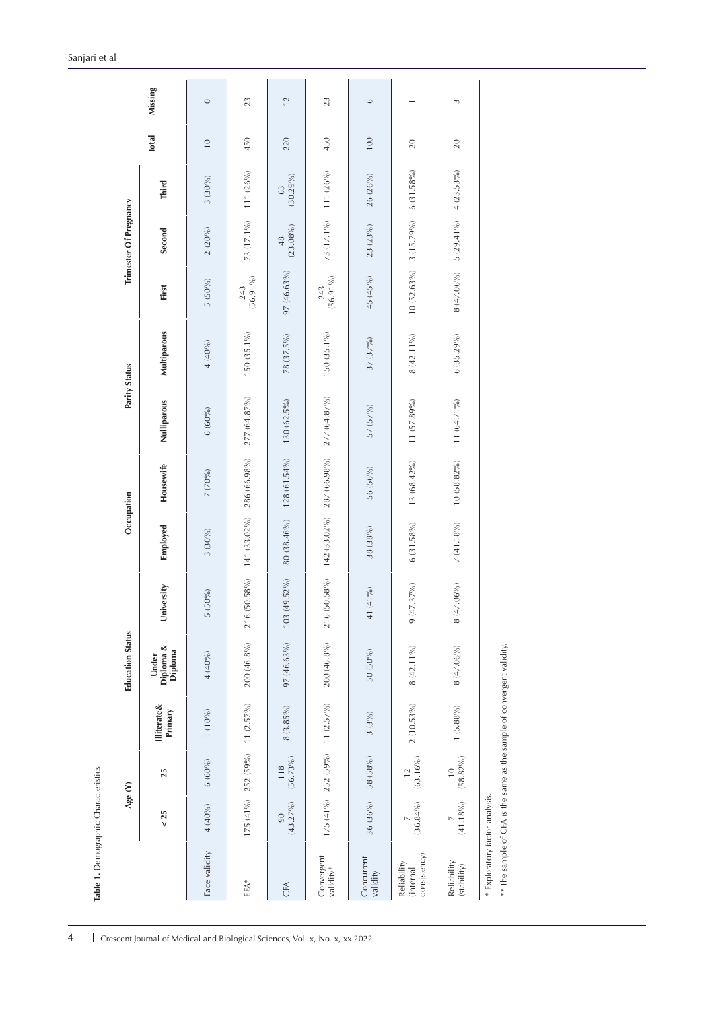| Employed<br>$3(30\%)$<br>University<br>5 (50%)<br>Under<br>Diploma &<br>Diploma<br>4(40%)<br><b>Illiterate&amp;</b><br>Primary<br>1(10%)<br>6(60%)<br>25<br>4 (40%)<br>$< 25$ | Housewife      | Nulliparous    |              |                    |                   |                | <b>Total</b>    |
|-------------------------------------------------------------------------------------------------------------------------------------------------------------------------------|----------------|----------------|--------------|--------------------|-------------------|----------------|-----------------|
|                                                                                                                                                                               |                |                | Multiparous  | First              | Second            | Third          |                 |
|                                                                                                                                                                               | 7 (70%)        | $6(60\%)$      | 4(40%)       | 5 (50%)            | 2(20%)            | $3(30\%)$      | $\overline{10}$ |
| 141 (33.02%)<br>216 (50.58%)<br>$200(46.8\%)$<br>$11 (2.57\%)$<br>175 (41%) 252 (59%)                                                                                         | 286 (66.98%)   | 277 (64.87%)   | 150 (35.1%)  | $(56.91\%)$<br>243 | 73 (17.1%)        | 111 (26%)      | 450             |
| 80 (38.46%)<br>103 (49.52%)<br>97 (46.63%)<br>$8(3.85\%)$<br>$(56.73\%)$<br>118<br>$(43.27\%)$<br>90                                                                          | $128(61.54\%)$ | 130 (62.5%)    | 78 (37.5%)   | 97 (46.63%)        | $(23.08\%)$<br>48 | (30.29%)<br>63 | 220             |
| 142 (33.02%)<br>216 (50.58%)<br>200 (46.8%)<br>$11(2.57\%)$<br>175 (41%) 252 (59%)                                                                                            | 287 (66.98%)   | $277(64.87\%)$ | 150 (35.1%)  | $(56.91\%)$<br>243 | 73 (17.1%)        | 111 (26%)      | 450             |
| 38 (38%)<br>41 (41%)<br>50 (50%)<br>$3(3\%)$<br>58 (58%)<br>36 (36%)                                                                                                          | 56 (56%)       | 57 (57%)       | 37 (37%)     | 45 (45%)           | 23 (23%)          | 26 (26%)       | 100             |
| 6 (31.58%)<br>$(47.37\%)$<br>$\circ$<br>8 (42.11%)<br>2 (10.53%)<br>$(63.16\%)$<br>$\overline{12}$<br>$(36.84\%)$                                                             | 13 (68.42%)    | 11 (57.89%)    | $8(42.11\%)$ | $10(52.63\%)$      | 3 (15.79%)        | 6(31.58%)      | 20              |
| $7(41.18\%)$<br>$(47.06\%)$<br>$\infty$<br>8 (47.06%)<br>$1 (5.88\%)$<br>$(58.82\%)$<br>$\overline{10}$<br>$(41.18\%)$                                                        | $10(58.82\%)$  | 11 (64.71%)    | 6 (35.29%)   | 8 (47.06%)         | 5 (29.41%)        | 4(23.53%)      | 20              |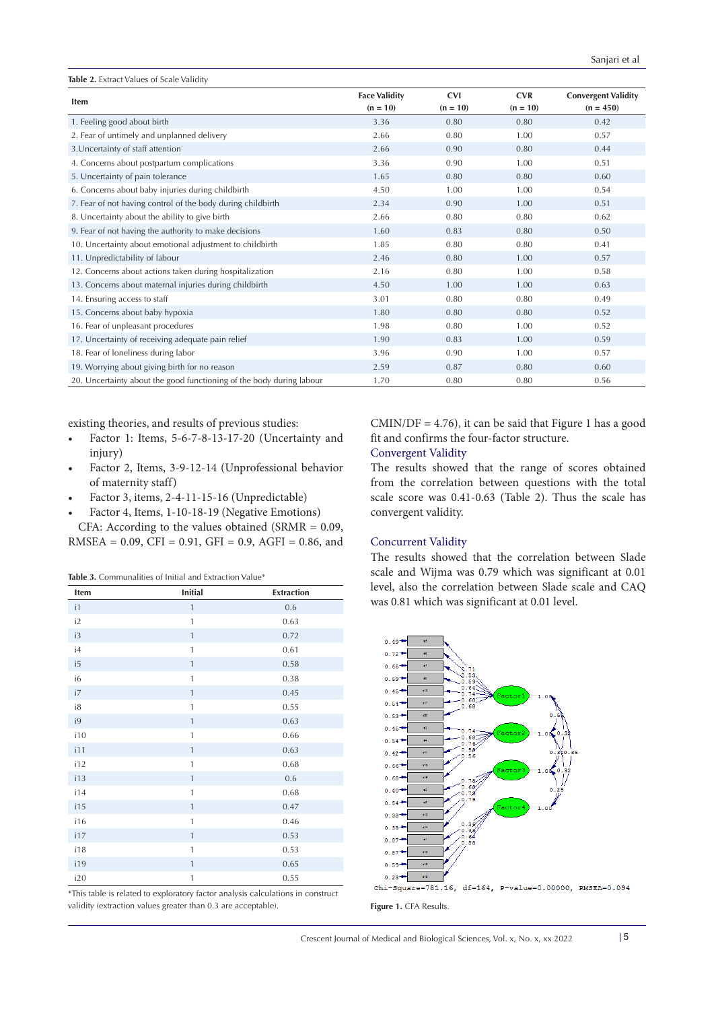| Table 2. Extract Values of Scale Validity                            |                                    |                          |                          |                                           |
|----------------------------------------------------------------------|------------------------------------|--------------------------|--------------------------|-------------------------------------------|
| <b>Item</b>                                                          | <b>Face Validity</b><br>$(n = 10)$ | <b>CVI</b><br>$(n = 10)$ | <b>CVR</b><br>$(n = 10)$ | <b>Convergent Validity</b><br>$(n = 450)$ |
| 1. Feeling good about birth                                          | 3.36                               | 0.80                     | 0.80                     | 0.42                                      |
| 2. Fear of untimely and unplanned delivery                           | 2.66                               | 0.80                     | 1.00                     | 0.57                                      |
| 3. Uncertainty of staff attention                                    | 2.66                               | 0.90                     | 0.80                     | 0.44                                      |
| 4. Concerns about postpartum complications                           | 3.36                               | 0.90                     | 1.00                     | 0.51                                      |
| 5. Uncertainty of pain tolerance                                     | 1.65                               | 0.80                     | 0.80                     | 0.60                                      |
| 6. Concerns about baby injuries during childbirth                    | 4.50                               | 1.00                     | 1.00                     | 0.54                                      |
| 7. Fear of not having control of the body during childbirth          | 2.34                               | 0.90                     | 1.00                     | 0.51                                      |
| 8. Uncertainty about the ability to give birth                       | 2.66                               | 0.80                     | 0.80                     | 0.62                                      |
| 9. Fear of not having the authority to make decisions                | 1.60                               | 0.83                     | 0.80                     | 0.50                                      |
| 10. Uncertainty about emotional adjustment to childbirth             | 1.85                               | 0.80                     | 0.80                     | 0.41                                      |
| 11. Unpredictability of labour                                       | 2.46                               | 0.80                     | 1.00                     | 0.57                                      |
| 12. Concerns about actions taken during hospitalization              | 2.16                               | 0.80                     | 1.00                     | 0.58                                      |
| 13. Concerns about maternal injuries during childbirth               | 4.50                               | 1.00                     | 1.00                     | 0.63                                      |
| 14. Ensuring access to staff                                         | 3.01                               | 0.80                     | 0.80                     | 0.49                                      |
| 15. Concerns about baby hypoxia                                      | 1.80                               | 0.80                     | 0.80                     | 0.52                                      |
| 16. Fear of unpleasant procedures                                    | 1.98                               | 0.80                     | 1.00                     | 0.52                                      |
| 17. Uncertainty of receiving adequate pain relief                    | 1.90                               | 0.83                     | 1.00                     | 0.59                                      |
| 18. Fear of loneliness during labor                                  | 3.96                               | 0.90                     | 1.00                     | 0.57                                      |
| 19. Worrying about giving birth for no reason                        | 2.59                               | 0.87                     | 0.80                     | 0.60                                      |
| 20. Uncertainty about the good functioning of the body during labour | 1.70                               | 0.80                     | 0.80                     | 0.56                                      |

existing theories, and results of previous studies:

- Factor 1: Items, 5-6-7-8-13-17-20 (Uncertainty and injury)
- Factor 2, Items, 3-9-12-14 (Unprofessional behavior of maternity staff)
- Factor 3, items, 2-4-11-15-16 (Unpredictable)

• Factor 4, Items, 1-10-18-19 (Negative Emotions) CFA: According to the values obtained (SRMR = 0.09, RMSEA =  $0.09$ , CFI =  $0.91$ , GFI =  $0.9$ , AGFI =  $0.86$ , and

**Table 3.** [Communalities of Initial and Extraction Value](https://www.researchgate.net/figure/Communalities-of-Initial-and-Extraction-Value_tbl3_273310986)\*

| Item          | <b>Initial</b> | <b>Extraction</b> |
|---------------|----------------|-------------------|
| $\mathsf{I}1$ | $\mathbf{1}$   | 0.6               |
| i2            | $\mathbf{1}$   | 0.63              |
| i3            | $\mathbf{1}$   | 0.72              |
| i4            | $\mathbf{1}$   | 0.61              |
| i5            | $\mathbf{1}$   | 0.58              |
| i6            | $\mathbf{1}$   | 0.38              |
| i7            | $\mathbf{1}$   | 0.45              |
| i8            | $\mathbf{1}$   | 0.55              |
| i9            | $\mathbf{1}$   | 0.63              |
| i10           | $\mathbf{1}$   | 0.66              |
| i11           | $\mathbf{1}$   | 0.63              |
| i12           | $\mathbf{1}$   | 0.68              |
| i13           | $\mathbf{1}$   | 0.6               |
| i14           | $\mathbf{1}$   | 0.68              |
| i15           | $\mathbf{1}$   | 0.47              |
| i16           | $\mathbf{1}$   | 0.46              |
| i17           | $\mathbf{1}$   | 0.53              |
| i18           | $\mathbf{1}$   | 0.53              |
| i19           | $\mathbf{1}$   | 0.65              |
| i20           | $\mathbf{1}$   | 0.55              |

\*This table is related to exploratory factor analysis calculations in construct validity (extraction values greater than 0.3 are acceptable).

 $CMIN/DF = 4.76$ , it can be said that Figure 1 has a good fit and confirms the four-factor structure.

# Convergent Validity

The results showed that the range of scores obtained from the correlation between questions with the total scale score was 0.41-0.63 (Table 2). Thus the scale has convergent validity.

#### Concurrent Validity

The results showed that the correlation between Slade scale and Wijma was 0.79 which was significant at 0.01 level, also the correlation between Slade scale and CAQ was 0.81 which was significant at 0.01 level.



**Figure 1.** CFA Results.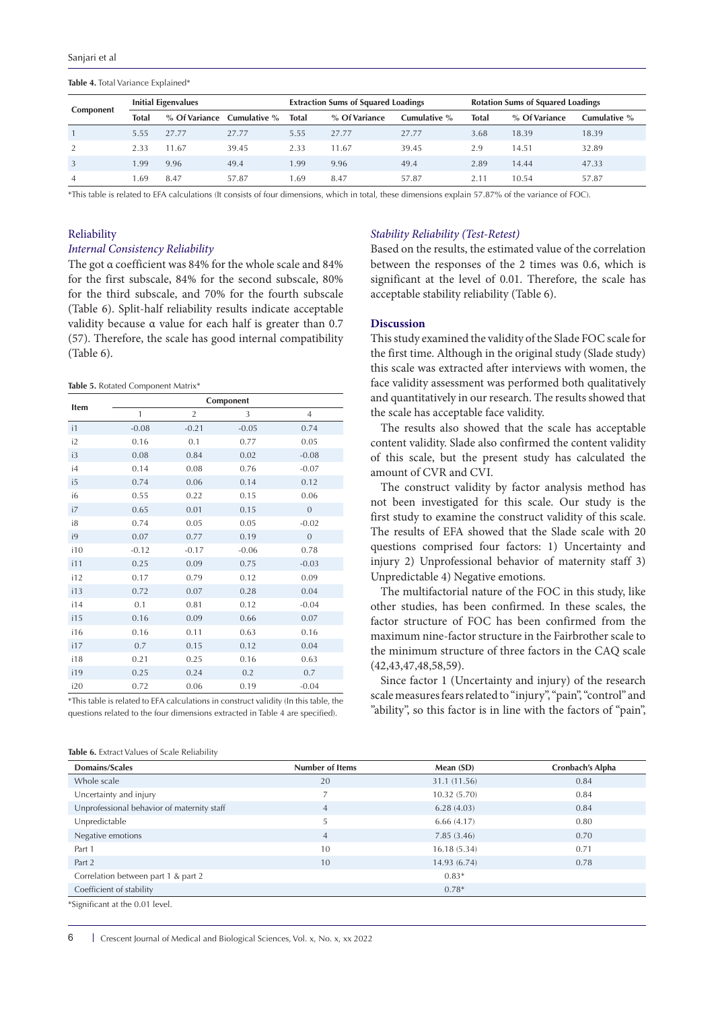#### **Table 4.** Total Variance Explained\*

|                           | <b>Initial Eigenvalues</b> |       |                            |              | <b>Extraction Sums of Squared Loadings</b> |              |              | <b>Rotation Sums of Squared Loadings</b> |              |  |
|---------------------------|----------------------------|-------|----------------------------|--------------|--------------------------------------------|--------------|--------------|------------------------------------------|--------------|--|
| Component<br><b>Total</b> |                            |       | % Of Variance Cumulative % | <b>Total</b> | % Of Variance                              | Cumulative % | <b>Total</b> | % Of Variance                            | Cumulative % |  |
|                           | 5.55                       | 27.77 | 27.77                      | 5.55         | 27.77                                      | 27.77        | 3.68         | 18.39                                    | 18.39        |  |
| 2                         | 2.33                       | 11.67 | 39.45                      | 2.33         | 11.67                                      | 39.45        | 2.9          | 14.51                                    | 32.89        |  |
| $\overline{3}$            | , 99                       | 9.96  | 49.4                       | 1.99         | 9.96                                       | 49.4         | 2.89         | 14.44                                    | 47.33        |  |
| $\overline{4}$            | .69                        | 8.47  | 57.87                      | .69          | 8.47                                       | 57.87        | 2.11         | 10.54                                    | 57.87        |  |

\*This table is related to EFA calculations (It consists of four dimensions, which in total, these dimensions explain 57.87% of the variance of FOC).

#### Reliability

#### *Internal Consistency Reliability*

The got α coefficient was 84% for the whole scale and 84% for the first subscale, 84% for the second subscale, 80% for the third subscale, and 70% for the fourth subscale (Table 6). Split-half reliability results indicate acceptable validity because α value for each half is greater than 0.7 (57). Therefore, the scale has good internal compatibility (Table 6).

**Table 5.** Rotated Component Matrix\*

| Item | Component |                |         |                |  |  |
|------|-----------|----------------|---------|----------------|--|--|
|      | 1         | $\overline{2}$ | 3       | $\overline{4}$ |  |  |
| i1   | $-0.08$   | $-0.21$        | $-0.05$ | 0.74           |  |  |
| i2   | 0.16      | 0.1            | 0.77    | 0.05           |  |  |
| i3   | 0.08      | 0.84           | 0.02    | $-0.08$        |  |  |
| i4   | 0.14      | 0.08           | 0.76    | $-0.07$        |  |  |
| i5   | 0.74      | 0.06           | 0.14    | 0.12           |  |  |
| i6   | 0.55      | 0.22           | 0.15    | 0.06           |  |  |
| i7   | 0.65      | 0.01           | 0.15    | $\overline{0}$ |  |  |
| i8   | 0.74      | 0.05           | 0.05    | $-0.02$        |  |  |
| i9   | 0.07      | 0.77           | 0.19    | $\overline{0}$ |  |  |
| i10  | $-0.12$   | $-0.17$        | $-0.06$ | 0.78           |  |  |
| i11  | 0.25      | 0.09           | 0.75    | $-0.03$        |  |  |
| i12  | 0.17      | 0.79           | 0.12    | 0.09           |  |  |
| i13  | 0.72      | 0.07           | 0.28    | 0.04           |  |  |
| i14  | 0.1       | 0.81           | 0.12    | $-0.04$        |  |  |
| i15  | 0.16      | 0.09           | 0.66    | 0.07           |  |  |
| i16  | 0.16      | 0.11           | 0.63    | 0.16           |  |  |
| i17  | 0.7       | 0.15           | 0.12    | 0.04           |  |  |
| i18  | 0.21      | 0.25           | 0.16    | 0.63           |  |  |
| i19  | 0.25      | 0.24           | 0.2     | 0.7            |  |  |
| i20  | 0.72      | 0.06           | 0.19    | $-0.04$        |  |  |

\*This table is related to EFA calculations in construct validity (In this table, the questions related to the four dimensions extracted in Table 4 are specified).

| Table 6. Extract Values of Scale Reliability |  |  |  |  |  |  |
|----------------------------------------------|--|--|--|--|--|--|
|----------------------------------------------|--|--|--|--|--|--|

# *Stability Reliability (Test-Retest)*

Based on the results, the estimated value of the correlation between the responses of the 2 times was 0.6, which is significant at the level of 0.01. Therefore, the scale has acceptable stability reliability (Table 6).

# **Discussion**

This study examined the validity of the Slade FOC scale for the first time. Although in the original study (Slade study) this scale was extracted after interviews with women, the face validity assessment was performed both qualitatively and quantitatively in our research. The results showed that the scale has acceptable face validity.

The results also showed that the scale has acceptable content validity. Slade also confirmed the content validity of this scale, but the present study has calculated the amount of CVR and CVI.

The construct validity by factor analysis method has not been investigated for this scale. Our study is the first study to examine the construct validity of this scale. The results of EFA showed that the Slade scale with 20 questions comprised four factors: 1) Uncertainty and injury 2) Unprofessional behavior of maternity staff 3) Unpredictable 4) Negative emotions.

The multifactorial nature of the FOC in this study, like other studies, has been confirmed. In these scales, the factor structure of FOC has been confirmed from the maximum nine-factor structure in the Fairbrother scale to the minimum structure of three factors in the CAQ scale (42,43,47,48,58,59).

Since factor 1 (Uncertainty and injury) of the research scale measures fears related to "injury", "pain", "control" and "ability", so this factor is in line with the factors of "pain",

| Domains/Scales                             | Number of Items | Mean (SD)    | Cronbach's Alpha |
|--------------------------------------------|-----------------|--------------|------------------|
| Whole scale                                | 20              | 31.1 (11.56) | 0.84             |
| Uncertainty and injury                     |                 | 10.32(5.70)  | 0.84             |
| Unprofessional behavior of maternity staff | $\overline{4}$  | 6.28(4.03)   | 0.84             |
| Unpredictable                              | 5               | 6.66(4.17)   | 0.80             |
| Negative emotions                          | $\overline{4}$  | 7.85(3.46)   | 0.70             |
| Part 1                                     | 10              | 16.18(5.34)  | 0.71             |
| Part 2                                     | 10              | 14.93 (6.74) | 0.78             |
| Correlation between part 1 & part 2        |                 | $0.83*$      |                  |
| Coefficient of stability                   |                 | $0.78*$      |                  |
| *Significant at the 0.01 level.            |                 |              |                  |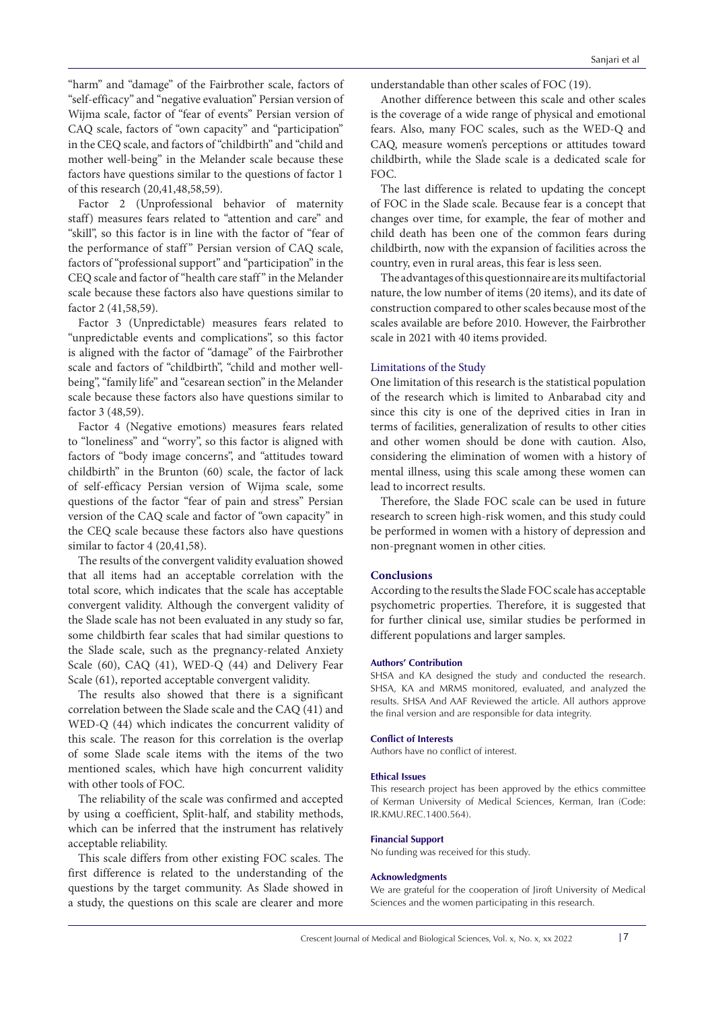"harm" and "damage" of the Fairbrother scale, factors of "self-efficacy" and "negative evaluation" Persian version of Wijma scale, factor of "fear of events" Persian version of CAQ scale, factors of "own capacity" and "participation" in the CEQ scale, and factors of "childbirth" and "child and mother well-being" in the Melander scale because these factors have questions similar to the questions of factor 1 of this research (20,41,48,58,59).

Factor 2 (Unprofessional behavior of maternity staff) measures fears related to "attention and care" and "skill", so this factor is in line with the factor of "fear of the performance of staff" Persian version of CAQ scale, factors of "professional support" and "participation" in the CEQ scale and factor of "health care staff" in the Melander scale because these factors also have questions similar to factor 2 (41,58,59).

Factor 3 (Unpredictable) measures fears related to "unpredictable events and complications", so this factor is aligned with the factor of "damage" of the Fairbrother scale and factors of "childbirth", "child and mother wellbeing", "family life" and "cesarean section" in the Melander scale because these factors also have questions similar to factor 3 (48,59).

Factor 4 (Negative emotions) measures fears related to "loneliness" and "worry", so this factor is aligned with factors of "body image concerns", and "attitudes toward childbirth" in the Brunton (60) scale, the factor of lack of self-efficacy Persian version of Wijma scale, some questions of the factor "fear of pain and stress" Persian version of the CAQ scale and factor of "own capacity" in the CEQ scale because these factors also have questions similar to factor 4 (20,41,58).

The results of the convergent validity evaluation showed that all items had an acceptable correlation with the total score, which indicates that the scale has acceptable convergent validity. Although the convergent validity of the Slade scale has not been evaluated in any study so far, some childbirth fear scales that had similar questions to the Slade scale, such as the pregnancy-related Anxiety Scale (60), CAQ (41), WED-Q (44) and Delivery Fear Scale (61), reported acceptable convergent validity.

The results also showed that there is a significant correlation between the Slade scale and the CAQ (41) and WED-Q (44) which indicates the concurrent validity of this scale. The reason for this correlation is the overlap of some Slade scale items with the items of the two mentioned scales, which have high concurrent validity with other tools of FOC.

The reliability of the scale was confirmed and accepted by using α coefficient, Split-half, and stability methods, which can be inferred that the instrument has relatively acceptable reliability.

This scale differs from other existing FOC scales. The first difference is related to the understanding of the questions by the target community. As Slade showed in a study, the questions on this scale are clearer and more understandable than other scales of FOC (19).

Another difference between this scale and other scales is the coverage of a wide range of physical and emotional fears. Also, many FOC scales, such as the WED-Q and CAQ, measure women's perceptions or attitudes toward childbirth, while the Slade scale is a dedicated scale for FOC.

The last difference is related to updating the concept of FOC in the Slade scale. Because fear is a concept that changes over time, for example, the fear of mother and child death has been one of the common fears during childbirth, now with the expansion of facilities across the country, even in rural areas, this fear is less seen.

The advantages of this questionnaire are its multifactorial nature, the low number of items (20 items), and its date of construction compared to other scales because most of the scales available are before 2010. However, the Fairbrother scale in 2021 with 40 items provided.

# Limitations of the Study

One limitation of this research is the statistical population of the research which is limited to Anbarabad city and since this city is one of the deprived cities in Iran in terms of facilities, generalization of results to other cities and other women should be done with caution. Also, considering the elimination of women with a history of mental illness, using this scale among these women can lead to incorrect results.

Therefore, the Slade FOC scale can be used in future research to screen high-risk women, and this study could be performed in women with a history of depression and non-pregnant women in other cities.

# **Conclusions**

According to the results the Slade FOC scale has acceptable psychometric properties. Therefore, it is suggested that for further clinical use, similar studies be performed in different populations and larger samples.

# **Authors' Contribution**

SHSA and KA designed the study and conducted the research. SHSA, KA and MRMS monitored, evaluated, and analyzed the results. SHSA And AAF Reviewed the article. All authors approve the final version and are responsible for data integrity.

#### **Conflict of Interests**

Authors have no conflict of interest.

#### **Ethical Issues**

This research project has been approved by the ethics committee of Kerman University of Medical Sciences, Kerman, Iran (Code: IR.KMU.REC.1400.564).

#### **Financial Support**

No funding was received for this study.

# **Acknowledgments**

We are grateful for the cooperation of Jiroft University of Medical Sciences and the women participating in this research.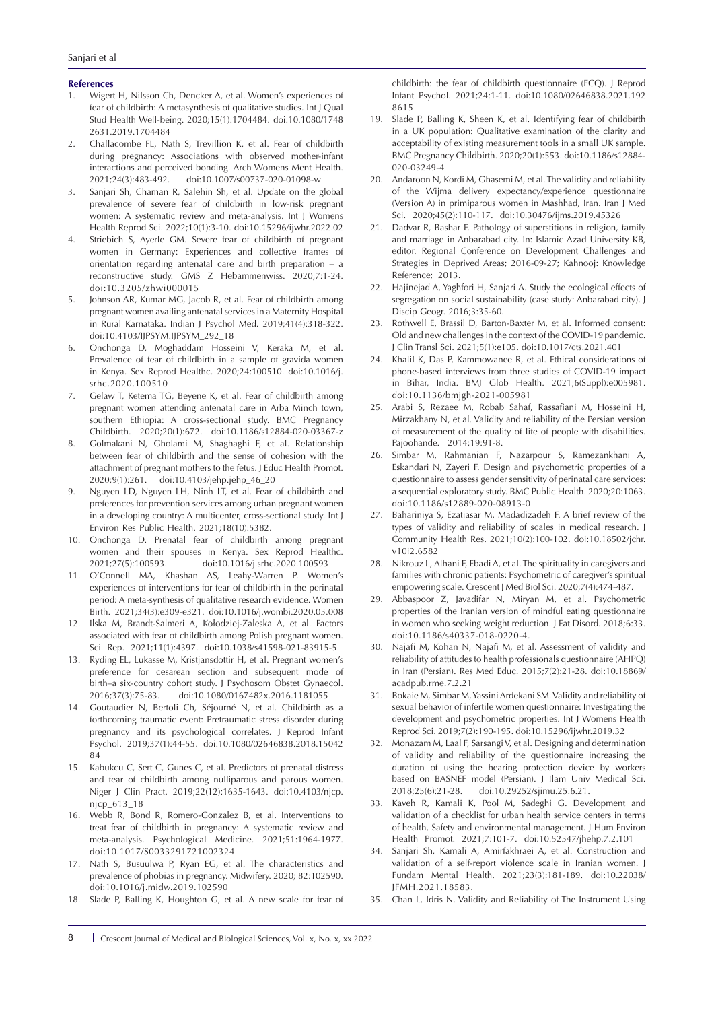#### **References**

- 1. Wigert H, Nilsson Ch, Dencker A, et al. Women's experiences of fear of childbirth: A metasynthesis of qualitative studies. Int J Qual Stud Health Well-being. 2020;15(1):1704484. doi:10.1080/1748 2631.2019.1704484
- 2. Challacombe FL, Nath S, Trevillion K, et al. Fear of childbirth during pregnancy: Associations with observed mother-infant interactions and perceived bonding. Arch Womens Ment Health. 2021;24(3):483-492. doi:10.1007/s00737-020-01098-w
- 3. Sanjari Sh, Chaman R, Salehin Sh, et al. Update on the global prevalence of severe fear of childbirth in low-risk pregnant women: A systematic review and meta-analysis. Int J Womens Health Reprod Sci. 2022;10(1):3-10. doi:10.15296/ijwhr.2022.02
- 4. Striebich S, Ayerle GM. Severe fear of childbirth of pregnant women in Germany: Experiences and collective frames of orientation regarding antenatal care and birth preparation – a reconstructive study. GMS Z Hebammenwiss. 2020;7:1-24. doi:10.3205/zhwi000015
- 5. Johnson AR, Kumar MG, Jacob R, et al. Fear of childbirth among pregnant women availing antenatal services in a Maternity Hospital in Rural Karnataka. Indian J Psychol Med. 2019;41(4):318-322. doi:10.4103/IJPSYM.IJPSYM\_292\_18
- 6. Onchonga D, Moghaddam Hosseini V, Keraka M, et al. Prevalence of fear of childbirth in a sample of gravida women in Kenya. Sex Reprod Healthc. 2020;24:100510. doi:10.1016/j. srhc.2020.100510
- 7. Gelaw T, Ketema TG, Beyene K, et al. Fear of childbirth among pregnant women attending antenatal care in Arba Minch town, southern Ethiopia: A cross-sectional study. BMC Pregnancy Childbirth. 2020;20(1):672. doi:10.1186/s12884-020-03367-z
- 8. Golmakani N, Gholami M, Shaghaghi F, et al. Relationship between fear of childbirth and the sense of cohesion with the attachment of pregnant mothers to the fetus. J Educ Health Promot. 2020;9(1):261. doi:10.4103/jehp.jehp\_46\_20
- 9. Nguyen LD, Nguyen LH, Ninh LT, et al. Fear of childbirth and preferences for prevention services among urban pregnant women in a developing country: A multicenter, cross-sectional study. Int J Environ Res Public Health. 2021;18(10):5382.
- 10. Onchonga D. Prenatal fear of childbirth among pregnant women and their spouses in Kenya. Sex Reprod Healthc. 2021;27(5):100593. doi:10.1016/j.srhc.2020.100593
- 11. O'Connell MA, Khashan AS, Leahy-Warren P. Women's experiences of interventions for fear of childbirth in the perinatal period: A meta-synthesis of qualitative research evidence. Women Birth. 2021;34(3):e309-e321. doi:10.1016/j.wombi.2020.05.008
- 12. Ilska M, Brandt-Salmeri A, Kołodziej-Zaleska A, et al. Factors associated with fear of childbirth among Polish pregnant women. Sci Rep. 2021;11(1):4397. doi:10.1038/s41598-021-83915-5
- 13. Ryding EL, Lukasse M, Kristjansdottir H, et al. Pregnant women's preference for cesarean section and subsequent mode of birth–a six-country cohort study. J Psychosom Obstet Gynaecol. 2016;37(3):75-83. doi:10.1080/0167482x.2016.1181055
- 14. Goutaudier N, Bertoli Ch, Séjourné N, et al. Childbirth as a forthcoming traumatic event: Pretraumatic stress disorder during pregnancy and its psychological correlates. J Reprod Infant Psychol. 2019;37(1):44-55. doi:10.1080/02646838.2018.15042 84
- 15. Kabukcu C, Sert C, Gunes C, et al. Predictors of prenatal distress and fear of childbirth among nulliparous and parous women. Niger J Clin Pract. 2019;22(12):1635-1643. doi:10.4103/njcp. njcp\_613\_18
- 16. Webb R, Bond R, Romero-Gonzalez B, et al. Interventions to treat fear of childbirth in pregnancy: A systematic review and meta-analysis. Psychological Medicine. 2021;51:1964-1977. doi:10.1017/S0033291721002324
- 17. Nath S, Busuulwa P, Ryan EG, et al. The characteristics and prevalence of phobias in pregnancy. Midwifery. 2020; 82:102590. doi:10.1016/j.midw.2019.102590
- 18. Slade P, Balling K, Houghton G, et al. A new scale for fear of

childbirth: the fear of childbirth questionnaire (FCQ). J Reprod Infant Psychol. 2021;24:1-11. doi:10.1080/02646838.2021.192 8615

- 19. Slade P, Balling K, Sheen K, et al. Identifying fear of childbirth in a UK population: Qualitative examination of the clarity and acceptability of existing measurement tools in a small UK sample. BMC Pregnancy Childbirth. 2020;20(1):553. doi:10.1186/s12884- 020-03249-4
- 20. Andaroon N, Kordi M, Ghasemi M, et al. The validity and reliability of the Wijma delivery expectancy/experience questionnaire (Version A) in primiparous women in Mashhad, Iran. Iran J Med Sci. 2020;45(2):110-117. doi:10.30476/ijms.2019.45326
- 21. Dadvar R, Bashar F. Pathology of superstitions in religion, family and marriage in Anbarabad city. In: Islamic Azad University KB, editor. Regional Conference on Development Challenges and Strategies in Deprived Areas; 2016-09-27; Kahnooj: Knowledge Reference; 2013.
- 22. Hajinejad A, Yaghfori H, Sanjari A. Study the ecological effects of segregation on social sustainability (case study: Anbarabad city). J Discip Geogr. 2016;3:35-60.
- 23. Rothwell E, Brassil D, Barton-Baxter M, et al. Informed consent: Old and new challenges in the context of the COVID-19 pandemic. J Clin Transl Sci. 2021;5(1):e105. doi:10.1017/cts.2021.401
- 24. Khalil K, Das P, Kammowanee R, et al. Ethical considerations of phone-based interviews from three studies of COVID-19 impact in Bihar, India. BMJ Glob Health. 2021;6(Suppl):e005981. doi:10.1136/bmjgh-2021-005981
- 25. Arabi S, Rezaee M, Robab Sahaf, Rassafiani M, Hosseini H, Mirzakhany N, et al. Validity and reliability of the Persian version of measurement of the quality of life of people with disabilities. Pajoohande. 2014;19:91-8.
- 26. Simbar M, Rahmanian F, Nazarpour S, Ramezankhani A, Eskandari N, Zayeri F. Design and psychometric properties of a questionnaire to assess gender sensitivity of perinatal care services: a sequential exploratory study. BMC Public Health. 2020;20:1063. doi:10.1186/s12889-020-08913-0
- 27. Bahariniya S, Ezatiasar M, Madadizadeh F. A brief review of the types of validity and reliability of scales in medical research. J Community Health Res. 2021;10(2):100-102. doi:10.18502/jchr. v10i2.6582
- 28. Nikrouz L, Alhani F, Ebadi A, et al. The spirituality in caregivers and families with chronic patients: Psychometric of caregiver's spiritual empowering scale. Crescent J Med Biol Sci. 2020;7(4):474-487.
- 29. Abbaspoor Z, Javadifar N, Miryan M, et al. Psychometric properties of the Iranian version of mindful eating questionnaire in women who seeking weight reduction. J Eat Disord. 2018;6:33. doi:10.1186/s40337-018-0220-4.
- 30. Najafi M, Kohan N, Najafi M, et al. Assessment of validity and reliability of attitudes to health professionals questionnaire (AHPQ) in Iran (Persian). Res Med Educ. 2015;7(2):21-28. doi:10.18869/ acadpub.rme.7.2.21
- 31. Bokaie M, Simbar M, Yassini Ardekani SM. Validity and reliability of sexual behavior of infertile women questionnaire: Investigating the development and psychometric properties. Int J Womens Health Reprod Sci. 2019;7(2):190-195. doi:10.15296/ijwhr.2019.32
- 32. Monazam M, Laal F, Sarsangi V, et al. Designing and determination of validity and reliability of the questionnaire increasing the duration of using the hearing protection device by workers based on BASNEF model (Persian). J Ilam Univ Medical Sci. 2018;25(6):21-28. doi:10.29252/sjimu.25.6.21.
- 33. Kaveh R, Kamali K, Pool M, Sadeghi G. Development and validation of a checklist for urban health service centers in terms of health, Safety and environmental management. J Hum Environ Health Promot. 2021;7:101-7. doi:10.52547/jhehp.7.2.101
- 34. Sanjari Sh, Kamali A, Amirfakhraei A, et al. Construction and validation of a self-report violence scale in Iranian women. J Fundam Mental Health. 2021;23(3):181-189. doi:10.22038/ JFMH.2021.18583.
- 35. Chan L, Idris N. Validity and Reliability of The Instrument Using